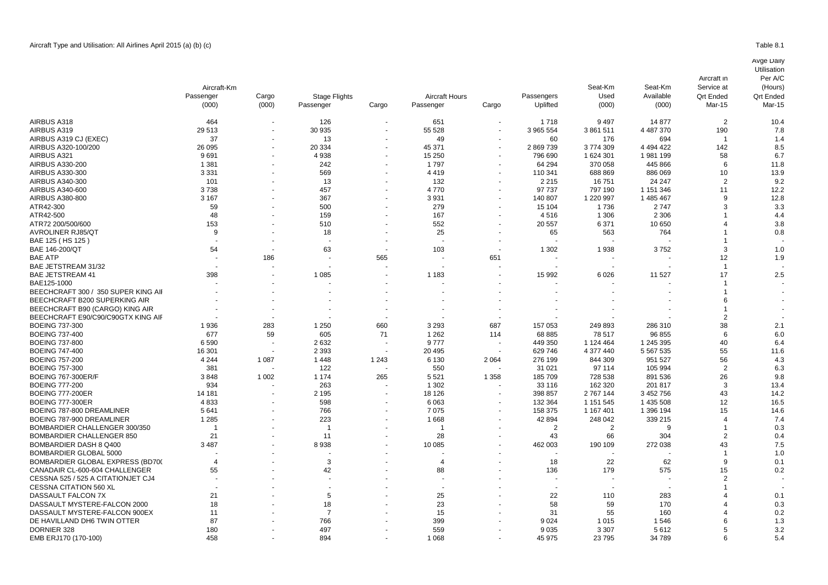|                                     | Aircraft-Km              |         |                      |         |                          |         |                | Seat-Km<br>Used | Seat-Km<br>Available<br>(000) | Service at<br><b>Qrt Ended</b><br>Mar-15 | (Hours)<br><b>Qrt Endec</b><br>Mar-15 |
|-------------------------------------|--------------------------|---------|----------------------|---------|--------------------------|---------|----------------|-----------------|-------------------------------|------------------------------------------|---------------------------------------|
|                                     | Passenger                | Cargo   | <b>Stage Flights</b> |         | <b>Aircraft Hours</b>    |         | Passengers     |                 |                               |                                          |                                       |
|                                     | (000)                    | (000)   | Passenger            | Cargo   | Passenger                | Cargo   | Uplifted       | (000)           |                               |                                          |                                       |
| AIRBUS A318                         | 464                      |         | 126                  |         | 651                      |         | 1718           | 9497            | 14 877                        | $\overline{2}$                           | 10.4                                  |
| AIRBUS A319                         | 29 5 13                  |         | 30 935               |         | 55 528                   |         | 3 965 554      | 3861511         | 4 487 370                     | 190                                      | 7.8                                   |
| AIRBUS A319 CJ (EXEC)               | 37                       |         | 13                   |         | 49                       |         | 60             | 176             | 694                           | -1                                       | 1.4                                   |
| AIRBUS A320-100/200                 | 26 095                   |         | 20 334               |         | 45 371                   |         | 2 869 739      | 3774309         | 4 4 9 4 4 2 2                 | 142                                      | 8.5                                   |
| AIRBUS A321                         | 9691                     |         | 4938                 |         | 15 250                   |         | 796 690        | 1 624 301       | 1981199                       | 58                                       | 6.7                                   |
| AIRBUS A330-200                     | 1 3 8 1                  |         | 242                  |         | 1797                     |         | 64 294         | 370 058         | 445 866                       | 6                                        | 11.8                                  |
| AIRBUS A330-300                     | 3 3 3 1                  |         | 569                  |         | 4419                     |         | 110 341        | 688 869         | 886 069                       | 10                                       | 13.9                                  |
| AIRBUS A340-300                     | 101                      |         | 13                   |         | 132                      |         | 2 2 1 5        | 16751           | 24 247                        | $\overline{2}$                           | 9.2                                   |
| AIRBUS A340-600                     | 3738                     |         | 457                  |         | 4770                     |         | 97 737         | 797 190         | 1 151 346                     | 11                                       | 12.2                                  |
| AIRBUS A380-800                     | 3 1 6 7                  |         | 367                  |         | 3931                     |         | 140 807        | 1 220 997       | 1 485 467                     | 9                                        | 12.8                                  |
| ATR42-300                           | 59                       |         | 500                  |         | 279                      |         | 15 104         | 1736            | 2 7 4 7                       | 3                                        | 3.3                                   |
| ATR42-500                           | 48                       |         | 159                  |         | 167                      |         | 4516           | 1 3 0 6         | 2 3 0 6                       |                                          | 4.4                                   |
| ATR72 200/500/600                   | 153                      |         | 510                  |         | 552                      |         | 20 557         | 6 3 7 1         | 10 650                        | 4                                        | 3.8                                   |
| <b>AVROLINER RJ85/QT</b>            | 9                        |         | 18                   |         | 25                       |         | 65             | 563             | 764                           |                                          | 0.8                                   |
| BAE 125 ( HS 125 )                  |                          |         |                      |         |                          |         |                |                 |                               | -1                                       |                                       |
| BAE 146-200/QT                      | 54                       |         | 63                   |         | 103                      |         | 1 3 0 2        | 1938            | 3752                          | 3                                        | 1 <sub>c</sub>                        |
| BAE ATP                             |                          | 186     |                      | 565     |                          | 651     |                |                 |                               | 12                                       | 1.9                                   |
| BAE JETSTREAM 31/32                 |                          |         |                      |         |                          |         |                |                 |                               | $\mathbf{1}$                             |                                       |
| <b>BAE JETSTREAM 41</b>             | 398                      |         | 1 0 8 5              |         | 1 1 8 3                  |         | 15 992         | 6026            | 11 527                        | 17                                       | 2.5                                   |
| BAE125-1000                         |                          |         |                      |         |                          |         |                |                 |                               |                                          |                                       |
| BEECHCRAFT 300 / 350 SUPER KING AII |                          |         |                      |         |                          |         |                |                 |                               |                                          |                                       |
| BEECHCRAFT B200 SUPERKING AIR       |                          |         |                      |         |                          |         |                |                 |                               | 6                                        |                                       |
|                                     |                          |         |                      |         |                          |         |                |                 |                               |                                          |                                       |
| BEECHCRAFT B90 (CARGO) KING AIR     |                          |         |                      |         |                          |         |                |                 |                               |                                          |                                       |
| BEECHCRAFT E90/C90/C90GTX KING AIF  |                          |         |                      |         |                          |         |                |                 |                               | 2                                        |                                       |
| BOEING 737-300                      | 1936                     | 283     | 1 2 5 0              | 660     | 3 2 9 3                  | 687     | 157 053        | 249 893         | 286 310                       | 38                                       | 2.1                                   |
| <b>BOEING 737-400</b>               | 677                      | 59      | 605                  | 71      | 1 2 6 2                  | 114     | 68 885         | 78 517          | 96 855                        | 6                                        | 6.C                                   |
| <b>BOEING 737-800</b>               | 6590                     |         | 2632                 |         | 9777                     |         | 449 350        | 1 124 464       | 1 245 395                     | 40                                       | 6.4                                   |
| <b>BOEING 747-400</b>               | 16 301                   |         | 2 3 9 3              |         | 20 4 95                  |         | 629 746        | 4 377 440       | 5 567 535                     | 55                                       | 11.6                                  |
| <b>BOEING 757-200</b>               | 4 2 4 4                  | 1 0 8 7 | 1448                 | 1 2 4 3 | 6 1 3 0                  | 2 0 6 4 | 276 199        | 844 309         | 951 527                       | 56                                       | 4.3                                   |
| BOEING 757-300                      | 381                      |         | 122                  |         | 550                      |         | 31 0 21        | 97 114          | 105 994                       | $\overline{2}$                           | 6.3                                   |
| BOEING 767-300ER/F                  | 3848                     | 1 0 0 2 | 1 1 7 4              | 265     | 5 5 21                   | 1 3 5 8 | 185 709        | 728 538         | 891 536                       | 26                                       | 9.8                                   |
| BOEING 777-200                      | 934                      |         | 263                  |         | 1 3 0 2                  |         | 33 116         | 162 320         | 201 817                       | 3                                        | 13.4                                  |
| BOEING 777-200ER                    | 14 181                   |         | 2 1 9 5              |         | 18 126                   |         | 398 857        | 2 767 144       | 3 452 756                     | 43                                       | 14.2                                  |
| BOEING 777-300ER                    | 4833                     |         | 598                  |         | 6 0 63                   |         | 132 364        | 1 151 545       | 1 435 508                     | 12                                       | 16.5                                  |
| BOEING 787-800 DREAMLINER           | 5641                     |         | 766                  |         | 7075                     |         | 158 375        | 1 167 401       | 1 396 194                     | 15                                       | 14.6                                  |
| BOEING 787-900 DREAMLINER           | 1 2 8 5                  |         | 223                  |         | 1668                     |         | 42 894         | 248 042         | 339 215                       | 4                                        | 7.4                                   |
| BOMBARDIER CHALLENGER 300/350       | $\overline{\phantom{a}}$ |         | -1                   |         |                          |         | $\overline{2}$ | $\overline{2}$  | 9                             | 1                                        | 0.3                                   |
| BOMBARDIER CHALLENGER 850           | 21                       |         | 11                   |         | 28                       |         | 43             | 66              | 304                           | $\overline{2}$                           | 0.4                                   |
| BOMBARDIER DASH 8 Q400              | 3487                     |         | 8938                 |         | 10 085                   |         | 462 003        | 190 109         | 272 038                       | 43                                       | 7.5                                   |
| BOMBARDIER GLOBAL 5000              |                          |         |                      |         |                          |         |                |                 |                               | 1                                        | 1 <sub>c</sub>                        |
| BOMBARDIER GLOBAL EXPRESS (BD70(    | 4                        |         | 3                    |         | $\boldsymbol{\varDelta}$ |         | 18             | 22              | 62                            | 9                                        | 0.1                                   |
| CANADAIR CL-600-604 CHALLENGER      | 55                       |         | 42                   |         | 88                       |         | 136            | 179             | 575                           | 15                                       | 0.2                                   |
| CESSNA 525 / 525 A CITATIONJET CJ4  |                          |         |                      |         |                          |         |                |                 |                               |                                          |                                       |
| <b>CESSNA CITATION 560 XL</b>       |                          |         |                      |         |                          |         |                |                 |                               |                                          |                                       |
| DASSAULT FALCON 7X                  | 21                       |         | 5                    |         | 25                       |         | 22             | 110             | 283                           |                                          | 0.1                                   |
| DASSAULT MYSTERE-FALCON 2000        | 18                       |         | 18                   |         | 23                       |         | 58             | 59              | 170                           |                                          | 0.3                                   |
| DASSAULT MYSTERE-FALCON 900EX       | 11                       |         | $\overline{7}$       |         | 15                       |         | 31             | 55              | 160                           |                                          | 0.2                                   |

DE HAVILLAND DH6 TWIN OTTER 87 - 766 - 399 - 9 024 1 015 1 546 6 1.3 DORNIER 328 180 - 497 - 559 - 9 035 3 307 5 612 5 3.2 EMB ERJ170 (170-100) 458 894 - 1 068 45 975 23 795 34 789 6 5.4

Per A/C

Aircraft in